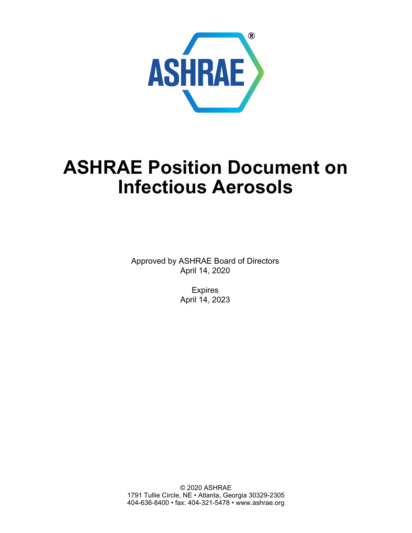

# **ASHRAE Position Document on Infectious Aerosols**

Approved by ASHRAE Board of Directors April 14, 2020

> Expires April 14, 2023

© 2020 ASHRAE 1791 Tullie Circle, NE • Atlanta, Georgia 30329-2305 404-636-8400 • fax: 404-321-5478 • [www.ashrae.org](http://www.ashrae.org)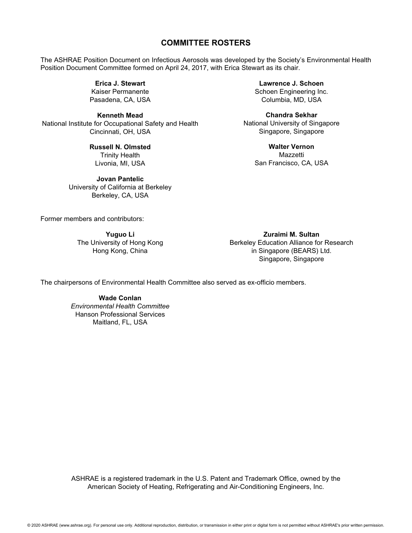#### **COMMITTEE ROSTERS**

The ASHRAE Position Document on Infectious Aerosols was developed by the Society's Environmental Health Position Document Committee formed on April 24, 2017, with Erica Stewart as its chair.

> **Erica J. Stewart** Kaiser Permanente Pasadena, CA, USA

**Kenneth Mead** National Institute for Occupational Safety and Health Cincinnati, OH, USA

> **Russell N. Olmsted** Trinity Health Livonia, MI, USA

**Jovan Pantelic** University of California at Berkeley Berkeley, CA, USA

**Lawrence J. Schoen** Schoen Engineering Inc. Columbia, MD, USA

**Chandra Sekhar** National University of Singapore Singapore, Singapore

> **Walter Vernon** Mazzetti San Francisco, CA, USA

Former members and contributors:

**Yuguo Li** The University of Hong Kong Hong Kong, China

**Zuraimi M. Sultan** Berkeley Education Alliance for Research in Singapore (BEARS) Ltd. Singapore, Singapore

The chairpersons of Environmental Health Committee also served as ex-officio members.

**Wade Conlan** *Environmental Health Committee* Hanson Professional Services Maitland, FL, USA

ASHRAE is a registered trademark in the U.S. Patent and Trademark Office, owned by the American Society of Heating, Refrigerating and Air-Conditioning Engineers, Inc.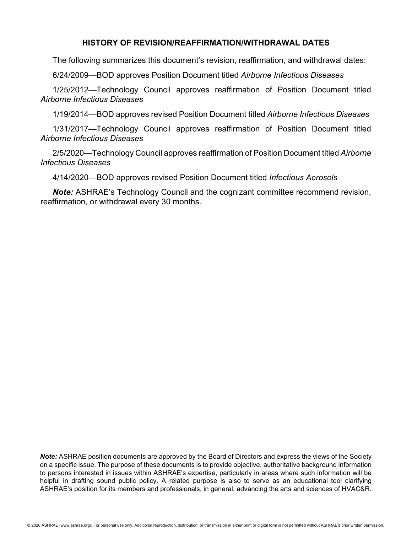#### **HISTORY OF REVISION/REAFFIRMATION/WITHDRAWAL DATES**

The following summarizes this document's revision, reaffirmation, and withdrawal dates:

6/24/2009—BOD approves Position Document titled *Airborne Infectious Diseases*

1/25/2012—Technology Council approves reaffirmation of Position Document titled *Airborne Infectious Diseases*

1/19/2014—BOD approves revised Position Document titled *Airborne Infectious Diseases*

1/31/2017—Technology Council approves reaffirmation of Position Document titled *Airborne Infectious Diseases*

2/5/2020—Technology Council approves reaffirmation of Position Document titled *Airborne Infectious Diseases*

4/14/2020—BOD approves revised Position Document titled *Infectious Aerosols*

*Note:* ASHRAE's Technology Council and the cognizant committee recommend revision, reaffirmation, or withdrawal every 30 months.

*Note:* ASHRAE position documents are approved by the Board of Directors and express the views of the Society on a specific issue. The purpose of these documents is to provide objective, authoritative background information to persons interested in issues within ASHRAE's expertise, particularly in areas where such information will be helpful in drafting sound public policy. A related purpose is also to serve as an educational tool clarifying ASHRAE's position for its members and professionals, in general, advancing the arts and sciences of HVAC&R.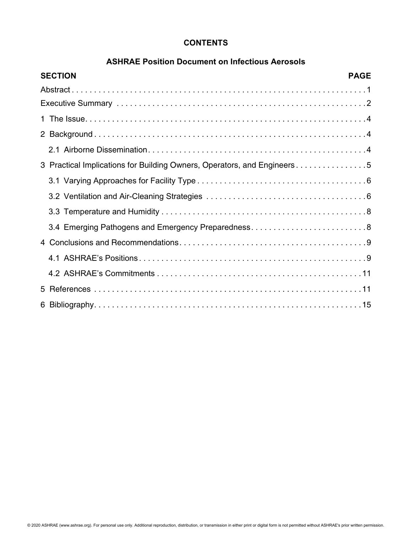## **CONTENTS**

#### **ASHRAE Position Document on Infectious Aerosols**

| <b>SECTION</b> | <b>PAGE</b>                                                             |
|----------------|-------------------------------------------------------------------------|
|                |                                                                         |
|                |                                                                         |
|                |                                                                         |
|                |                                                                         |
|                |                                                                         |
|                | 3 Practical Implications for Building Owners, Operators, and Engineers5 |
|                |                                                                         |
|                |                                                                         |
|                |                                                                         |
|                | 3.4 Emerging Pathogens and Emergency Preparedness8                      |
|                |                                                                         |
|                |                                                                         |
|                |                                                                         |
|                |                                                                         |
|                |                                                                         |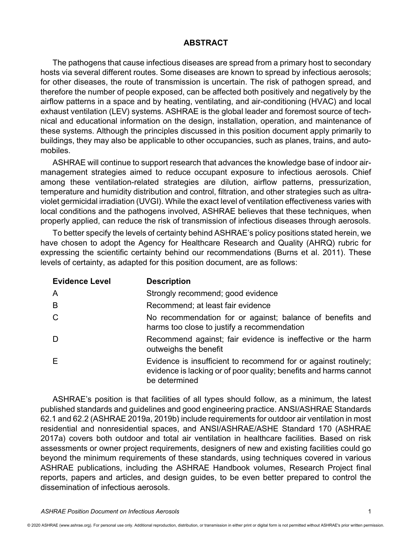#### **ABSTRACT**

The pathogens that cause infectious diseases are spread from a primary host to secondary hosts via several different routes. Some diseases are known to spread by infectious aerosols; for other diseases, the route of transmission is uncertain. The risk of pathogen spread, and therefore the number of people exposed, can be affected both positively and negatively by the airflow patterns in a space and by heating, ventilating, and air-conditioning (HVAC) and local exhaust ventilation (LEV) systems. ASHRAE is the global leader and foremost source of technical and educational information on the design, installation, operation, and maintenance of these systems. Although the principles discussed in this position document apply primarily to buildings, they may also be applicable to other occupancies, such as planes, trains, and automobiles.

ASHRAE will continue to support research that advances the knowledge base of indoor airmanagement strategies aimed to reduce occupant exposure to infectious aerosols. Chief among these ventilation-related strategies are dilution, airflow patterns, pressurization, temperature and humidity distribution and control, filtration, and other strategies such as ultraviolet germicidal irradiation (UVGI). While the exact level of ventilation effectiveness varies with local conditions and the pathogens involved, ASHRAE believes that these techniques, when properly applied, can reduce the risk of transmission of infectious diseases through aerosols.

To better specify the levels of certainty behind ASHRAE's policy positions stated herein, we have chosen to adopt the Agency for Healthcare Research and Quality (AHRQ) rubric for expressing the scientific certainty behind our recommendations (Burns et al. 2011). These levels of certainty, as adapted for this position document, are as follows:

| <b>Evidence Level</b> | <b>Description</b>                                                                                                                                    |
|-----------------------|-------------------------------------------------------------------------------------------------------------------------------------------------------|
| A                     | Strongly recommend; good evidence                                                                                                                     |
| B                     | Recommend; at least fair evidence                                                                                                                     |
| C.                    | No recommendation for or against; balance of benefits and<br>harms too close to justify a recommendation                                              |
| D                     | Recommend against; fair evidence is ineffective or the harm<br>outweighs the benefit                                                                  |
| E.                    | Evidence is insufficient to recommend for or against routinely;<br>evidence is lacking or of poor quality; benefits and harms cannot<br>be determined |

ASHRAE's position is that facilities of all types should follow, as a minimum, the latest published standards and guidelines and good engineering practice. ANSI/ASHRAE Standards 62.1 and 62.2 (ASHRAE 2019a, 2019b) include requirements for outdoor air ventilation in most residential and nonresidential spaces, and ANSI/ASHRAE/ASHE Standard 170 (ASHRAE 2017a) covers both outdoor and total air ventilation in healthcare facilities. Based on risk assessments or owner project requirements, designers of new and existing facilities could go beyond the minimum requirements of these standards, using techniques covered in various ASHRAE publications, including the ASHRAE Handbook volumes, Research Project final reports, papers and articles, and design guides, to be even better prepared to control the dissemination of infectious aerosols.

*ASHRAE Position Document on Infectious Aerosols* 1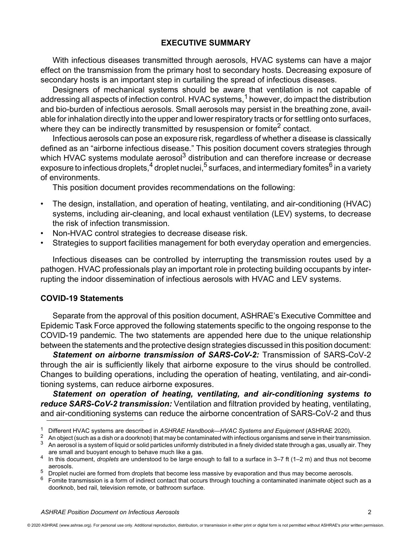## **EXECUTIVE SUMMARY**

With infectious diseases transmitted through aerosols, HVAC systems can have a major effect on the transmission from the primary host to secondary hosts. Decreasing exposure of secondary hosts is an important step in curtailing the spread of infectious diseases.

Designers of mechanical systems should be aware that ventilation is not capable of addressing all aspects of infection control. HVAC systems,<sup>1</sup> however, do impact the distribution and bio-burden of infectious aerosols. Small aerosols may persist in the breathing zone, available for inhalation directly into the upper and lower respiratory tracts or for settling onto surfaces, where they can be indirectly transmitted by resuspension or fomite<sup>2</sup> contact.

Infectious aerosols can pose an exposure risk, regardless of whether a disease is classically defined as an "airborne infectious disease." This position document covers strategies through which HVAC systems modulate aerosol<sup>3</sup> distribution and can therefore increase or decrease exposure to infectious droplets,  $4$  droplet nuclei,  $5$  surfaces, and intermediary fomites  $6$  in a variety of environments.

This position document provides recommendations on the following:

- The design, installation, and operation of heating, ventilating, and air-conditioning (HVAC) systems, including air-cleaning, and local exhaust ventilation (LEV) systems, to decrease the risk of infection transmission.
- Non-HVAC control strategies to decrease disease risk.
- Strategies to support facilities management for both everyday operation and emergencies.

Infectious diseases can be controlled by interrupting the transmission routes used by a pathogen. HVAC professionals play an important role in protecting building occupants by interrupting the indoor dissemination of infectious aerosols with HVAC and LEV systems.

#### **COVID-19 Statements**

Separate from the approval of this position document, ASHRAE's Executive Committee and Epidemic Task Force approved the following statements specific to the ongoing response to the COVID-19 pandemic. The two statements are appended here due to the unique relationship between the statements and the protective design strategies discussed in this position document:

*Statement on airborne transmission of SARS-CoV-2:* Transmission of SARS-CoV-2 through the air is sufficiently likely that airborne exposure to the virus should be controlled. Changes to building operations, including the operation of heating, ventilating, and air-conditioning systems, can reduce airborne exposures.

*Statement on operation of heating, ventilating, and air-conditioning systems to reduce SARS-CoV-2 transmission:* Ventilation and filtration provided by heating, ventilating, and air-conditioning systems can reduce the airborne concentration of SARS-CoV-2 and thus

<sup>&</sup>lt;sup>1</sup> Different HVAC systems are described in ASHRAE Handbook—HVAC Systems and Equipment (ASHRAE 2020).<br><sup>2</sup> An object (such as a dish or a doorknob) that may be contaminated with infectious organisms and serve in their tran

are small and buoyant enough to behave much like a gas. <sup>4</sup> In this document, *droplets* are understood to be large enough to fall to a surface in 3–7 ft (1–2 m) and thus not become

aerosols.

<sup>&</sup>lt;sup>5</sup> Droplet nuclei are formed from droplets that become less massive by evaporation and thus may become aerosols.<br><sup>6</sup> Fomite transmission is a form of indirect contact that occurs through touching a contaminated inanimate

doorknob, bed rail, television remote, or bathroom surface.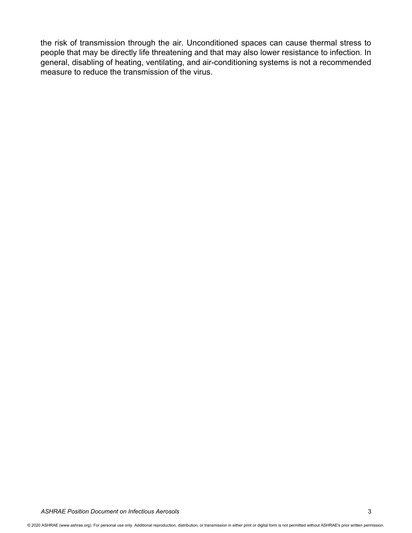the risk of transmission through the air. Unconditioned spaces can cause thermal stress to people that may be directly life threatening and that may also lower resistance to infection. In general, disabling of heating, ventilating, and air-conditioning systems is not a recommended measure to reduce the transmission of the virus.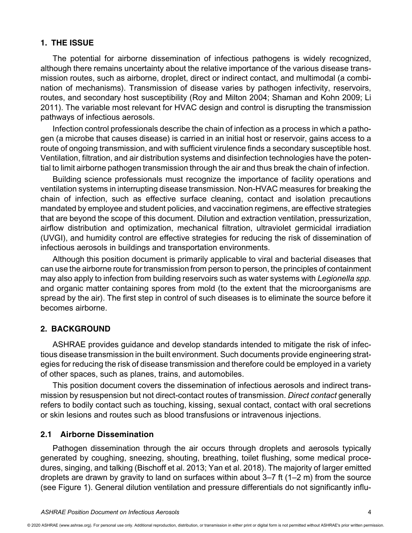## **1. THE ISSUE**

The potential for airborne dissemination of infectious pathogens is widely recognized, although there remains uncertainty about the relative importance of the various disease transmission routes, such as airborne, droplet, direct or indirect contact, and multimodal (a combination of mechanisms). Transmission of disease varies by pathogen infectivity, reservoirs, routes, and secondary host susceptibility (Roy and Milton 2004; Shaman and Kohn 2009; Li 2011). The variable most relevant for HVAC design and control is disrupting the transmission pathways of infectious aerosols.

Infection control professionals describe the chain of infection as a process in which a pathogen (a microbe that causes disease) is carried in an initial host or reservoir, gains access to a route of ongoing transmission, and with sufficient virulence finds a secondary susceptible host. Ventilation, filtration, and air distribution systems and disinfection technologies have the potential to limit airborne pathogen transmission through the air and thus break the chain of infection.

Building science professionals must recognize the importance of facility operations and ventilation systems in interrupting disease transmission. Non-HVAC measures for breaking the chain of infection, such as effective surface cleaning, contact and isolation precautions mandated by employee and student policies, and vaccination regimens, are effective strategies that are beyond the scope of this document. Dilution and extraction ventilation, pressurization, airflow distribution and optimization, mechanical filtration, ultraviolet germicidal irradiation (UVGI), and humidity control are effective strategies for reducing the risk of dissemination of infectious aerosols in buildings and transportation environments.

Although this position document is primarily applicable to viral and bacterial diseases that can use the airborne route for transmission from person to person, the principles of containment may also apply to infection from building reservoirs such as water systems with *Legionella spp.* and organic matter containing spores from mold (to the extent that the microorganisms are spread by the air). The first step in control of such diseases is to eliminate the source before it becomes airborne.

#### **2. BACKGROUND**

ASHRAE provides guidance and develop standards intended to mitigate the risk of infectious disease transmission in the built environment. Such documents provide engineering strategies for reducing the risk of disease transmission and therefore could be employed in a variety of other spaces, such as planes, trains, and automobiles.

This position document covers the dissemination of infectious aerosols and indirect transmission by resuspension but not direct-contact routes of transmission. *Direct contact* generally refers to bodily contact such as touching, kissing, sexual contact, contact with oral secretions or skin lesions and routes such as blood transfusions or intravenous injections.

### **2.1 Airborne Dissemination**

Pathogen dissemination through the air occurs through droplets and aerosols typically generated by coughing, sneezing, shouting, breathing, toilet flushing, some medical procedures, singing, and talking (Bischoff et al. 2013; Yan et al. 2018). The majority of larger emitted droplets are drawn by gravity to land on surfaces within about 3–7 ft (1–2 m) from the source (see Figure 1). General dilution ventilation and pressure differentials do not significantly influ-

<sup>© 2020</sup> ASHRAE [\(www.ashrae.org\). Fo](http://www.ashrae.org)r personal use only. Additional reproduction, distribution, or transmission in either print or digital form is not permitted without ASHRAE's prior written permission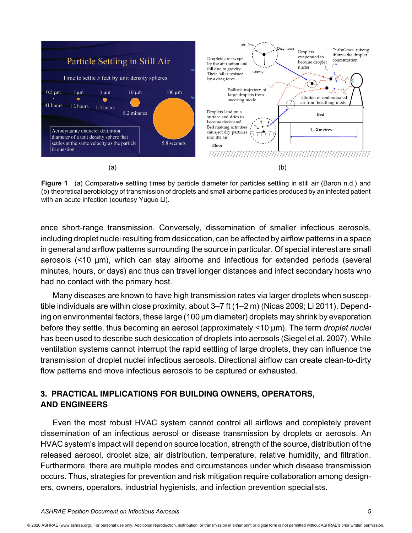

**Figure 1** (a) Comparative settling times by particle diameter for particles settling in still air (Baron n.d.) and (b) theoretical aerobiology of transmission of droplets and small airborne particles produced by an infected patient with an acute infection (courtesy Yuguo Li).

ence short-range transmission. Conversely, dissemination of smaller infectious aerosols, including droplet nuclei resulting from desiccation, can be affected by airflow patterns in a space in general and airflow patterns surrounding the source in particular. Of special interest are small aerosols (<10 µm), which can stay airborne and infectious for extended periods (several minutes, hours, or days) and thus can travel longer distances and infect secondary hosts who had no contact with the primary host.

Many diseases are known to have high transmission rates via larger droplets when susceptible individuals are within close proximity, about 3–7 ft (1–2 m) (Nicas 2009; Li 2011). Depending on environmental factors, these large (100 µm diameter) droplets may shrink by evaporation before they settle, thus becoming an aerosol (approximately <10 µm). The term *droplet nuclei* has been used to describe such desiccation of droplets into aerosols (Siegel et al. 2007). While ventilation systems cannot interrupt the rapid settling of large droplets, they can influence the transmission of droplet nuclei infectious aerosols. Directional airflow can create clean-to-dirty flow patterns and move infectious aerosols to be captured or exhausted.

## **3. PRACTICAL IMPLICATIONS FOR BUILDING OWNERS, OPERATORS, AND ENGINEERS**

Even the most robust HVAC system cannot control all airflows and completely prevent dissemination of an infectious aerosol or disease transmission by droplets or aerosols. An HVAC system's impact will depend on source location, strength of the source, distribution of the released aerosol, droplet size, air distribution, temperature, relative humidity, and filtration. Furthermore, there are multiple modes and circumstances under which disease transmission occurs. Thus, strategies for prevention and risk mitigation require collaboration among designers, owners, operators, industrial hygienists, and infection prevention specialists.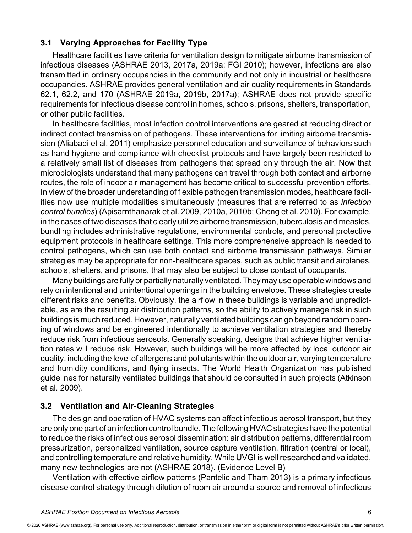## **3.1 Varying Approaches for Facility Type**

Healthcare facilities have criteria for ventilation design to mitigate airborne transmission of infectious diseases (ASHRAE 2013, 2017a, 2019a; FGI 2010); however, infections are also transmitted in ordinary occupancies in the community and not only in industrial or healthcare occupancies. ASHRAE provides general ventilation and air quality requirements in Standards 62.1, 62.2, and 170 (ASHRAE 2019a, 2019b, 2017a); ASHRAE does not provide specific requirements for infectious disease control in homes, schools, prisons, shelters, transportation, or other public facilities.

In healthcare facilities, most infection control interventions are geared at reducing direct or indirect contact transmission of pathogens. These interventions for limiting airborne transmission (Aliabadi et al. 2011) emphasize personnel education and surveillance of behaviors such as hand hygiene and compliance with checklist protocols and have largely been restricted to a relatively small list of diseases from pathogens that spread only through the air. Now that microbiologists understand that many pathogens can travel through both contact and airborne routes, the role of indoor air management has become critical to successful prevention efforts. In view of the broader understanding of flexible pathogen transmission modes, healthcare facilities now use multiple modalities simultaneously (measures that are referred to as *infection control bundles*) (Apisarnthanarak et al. 2009, 2010a, 2010b; Cheng et al. 2010). For example, in the cases of two diseases that clearly utilize airborne transmission, tuberculosis and measles, bundling includes administrative regulations, environmental controls, and personal protective equipment protocols in healthcare settings. This more comprehensive approach is needed to control pathogens, which can use both contact and airborne transmission pathways. Similar strategies may be appropriate for non-healthcare spaces, such as public transit and airplanes, schools, shelters, and prisons, that may also be subject to close contact of occupants.

Many buildings are fully or partially naturally ventilated. They may use operable windows and rely on intentional and unintentional openings in the building envelope. These strategies create different risks and benefits. Obviously, the airflow in these buildings is variable and unpredictable, as are the resulting air distribution patterns, so the ability to actively manage risk in such buildings is much reduced. However, naturally ventilated buildings can go beyond random opening of windows and be engineered intentionally to achieve ventilation strategies and thereby reduce risk from infectious aerosols. Generally speaking, designs that achieve higher ventilation rates will reduce risk. However, such buildings will be more affected by local outdoor air quality, including the level of allergens and pollutants within the outdoor air, varying temperature and humidity conditions, and flying insects. The World Health Organization has published guidelines for naturally ventilated buildings that should be consulted in such projects (Atkinson et al. 2009).

#### **3.2 Ventilation and Air-Cleaning Strategies**

The design and operation of HVAC systems can affect infectious aerosol transport, but they are only one part of an infection control bundle. The following HVAC strategies have the potential to reduce the risks of infectious aerosol dissemination: air distribution patterns, differential room pressurization, personalized ventilation, source capture ventilation, filtration (central or local), and controlling temperature and relative humidity. While UVGI is well researched and validated, many new technologies are not (ASHRAE 2018). (Evidence Level B)

Ventilation with effective airflow patterns (Pantelic and Tham 2013) is a primary infectious disease control strategy through dilution of room air around a source and removal of infectious

<sup>© 2020</sup> ASHRAE [\(www.ashrae.org\). Fo](http://www.ashrae.org)r personal use only. Additional reproduction, distribution, or transmission in either print or digital form is not permitted without ASHRAE's prior written permission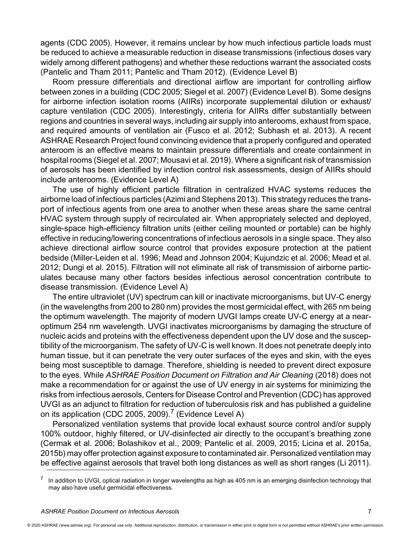agents (CDC 2005). However, it remains unclear by how much infectious particle loads must be reduced to achieve a measurable reduction in disease transmissions (infectious doses vary widely among different pathogens) and whether these reductions warrant the associated costs (Pantelic and Tham 2011; Pantelic and Tham 2012). (Evidence Level B)

Room pressure differentials and directional airflow are important for controlling airflow between zones in a building (CDC 2005; Siegel et al. 2007) (Evidence Level B). Some designs for airborne infection isolation rooms (AIIRs) incorporate supplemental dilution or exhaust/ capture ventilation (CDC 2005). Interestingly, criteria for AIIRs differ substantially between regions and countries in several ways, including air supply into anterooms, exhaust from space, and required amounts of ventilation air (Fusco et al. 2012; Subhash et al. 2013). A recent ASHRAE Research Project found convincing evidence that a properly configured and operated anteroom is an effective means to maintain pressure differentials and create containment in hospital rooms (Siegel et al. 2007; Mousavi et al. 2019). Where a significant risk of transmission of aerosols has been identified by infection control risk assessments, design of AIIRs should include anterooms. (Evidence Level A)

The use of highly efficient particle filtration in centralized HVAC systems reduces the airborne load of infectious particles (Azimi and Stephens 2013). This strategy reduces the transport of infectious agents from one area to another when these areas share the same central HVAC system through supply of recirculated air. When appropriately selected and deployed, single-space high-efficiency filtration units (either ceiling mounted or portable) can be highly effective in reducing/lowering concentrations of infectious aerosols in a single space. They also achieve directional airflow source control that provides exposure protection at the patient bedside (Miller-Leiden et al. 1996; Mead and Johnson 2004; Kujundzic et al. 2006; Mead et al. 2012; Dungi et al. 2015). Filtration will not eliminate all risk of transmission of airborne particulates because many other factors besides infectious aerosol concentration contribute to disease transmission. (Evidence Level A)

The entire ultraviolet (UV) spectrum can kill or inactivate microorganisms, but UV-C energy (in the wavelengths from 200 to 280 nm) provides the most germicidal effect, with 265 nm being the optimum wavelength. The majority of modern UVGI lamps create UV-C energy at a nearoptimum 254 nm wavelength. UVGI inactivates microorganisms by damaging the structure of nucleic acids and proteins with the effectiveness dependent upon the UV dose and the susceptibility of the microorganism. The safety of UV-C is well known. It does not penetrate deeply into human tissue, but it can penetrate the very outer surfaces of the eyes and skin, with the eyes being most susceptible to damage. Therefore, shielding is needed to prevent direct exposure to the eyes. While *ASHRAE Position Document on Filtration and Air Cleaning* (2018) does not make a recommendation for or against the use of UV energy in air systems for minimizing the risks from infectious aerosols, Centers for Disease Control and Prevention (CDC) has approved UVGI as an adjunct to filtration for reduction of tuberculosis risk and has published a guideline on its application (CDC 2005, 2009).<sup>7</sup> (Evidence Level A)

Personalized ventilation systems that provide local exhaust source control and/or supply 100% outdoor, highly filtered, or UV-disinfected air directly to the occupant's breathing zone (Cermak et al. 2006; Bolashikov et al., 2009; Pantelic et al. 2009, 2015; Licina et al. 2015a, 2015b) may offer protection against exposure to contaminated air. Personalized ventilation may be effective against aerosols that travel both long distances as well as short ranges (Li 2011).

In addition to UVGI, optical radiation in longer wavelengths as high as 405 nm is an emerging disinfection technology that may also have useful germicidal effectiveness.

<sup>© 2020</sup> ASHRAE [\(www.ashrae.org\). Fo](http://www.ashrae.org)r personal use only. Additional reproduction, distribution, or transmission in either print or digital form is not permitted without ASHRAE's prior written permission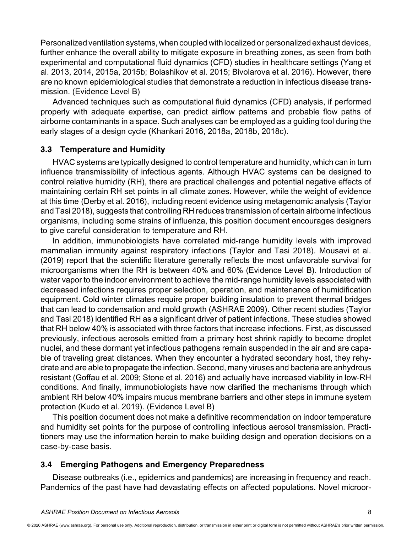Personalized ventilation systems, when coupled with localized or personalized exhaust devices, further enhance the overall ability to mitigate exposure in breathing zones, as seen from both experimental and computational fluid dynamics (CFD) studies in healthcare settings (Yang et al. 2013, 2014, 2015a, 2015b; Bolashikov et al. 2015; Bivolarova et al. 2016). However, there are no known epidemiological studies that demonstrate a reduction in infectious disease transmission. (Evidence Level B)

Advanced techniques such as computational fluid dynamics (CFD) analysis, if performed properly with adequate expertise, can predict airflow patterns and probable flow paths of airborne contaminants in a space. Such analyses can be employed as a guiding tool during the early stages of a design cycle (Khankari 2016, 2018a, 2018b, 2018c).

## **3.3 Temperature and Humidity**

HVAC systems are typically designed to control temperature and humidity, which can in turn influence transmissibility of infectious agents. Although HVAC systems can be designed to control relative humidity (RH), there are practical challenges and potential negative effects of maintaining certain RH set points in all climate zones. However, while the weight of evidence at this time (Derby et al. 2016), including recent evidence using metagenomic analysis (Taylor and Tasi 2018), suggests that controlling RH reduces transmission of certain airborne infectious organisms, including some strains of influenza, this position document encourages designers to give careful consideration to temperature and RH.

In addition, immunobiologists have correlated mid-range humidity levels with improved mammalian immunity against respiratory infections (Taylor and Tasi 2018). Mousavi et al. (2019) report that the scientific literature generally reflects the most unfavorable survival for microorganisms when the RH is between 40% and 60% (Evidence Level B). Introduction of water vapor to the indoor environment to achieve the mid-range humidity levels associated with decreased infections requires proper selection, operation, and maintenance of humidification equipment. Cold winter climates require proper building insulation to prevent thermal bridges that can lead to condensation and mold growth (ASHRAE 2009). Other recent studies (Taylor and Tasi 2018) identified RH as a significant driver of patient infections. These studies showed that RH below 40% is associated with three factors that increase infections. First, as discussed previously, infectious aerosols emitted from a primary host shrink rapidly to become droplet nuclei, and these dormant yet infectious pathogens remain suspended in the air and are capable of traveling great distances. When they encounter a hydrated secondary host, they rehydrate and are able to propagate the infection. Second, many viruses and bacteria are anhydrous resistant (Goffau et al. 2009; Stone et al. 2016) and actually have increased viability in low-RH conditions. And finally, immunobiologists have now clarified the mechanisms through which ambient RH below 40% impairs mucus membrane barriers and other steps in immune system protection (Kudo et al. 2019). (Evidence Level B)

This position document does not make a definitive recommendation on indoor temperature and humidity set points for the purpose of controlling infectious aerosol transmission. Practitioners may use the information herein to make building design and operation decisions on a case-by-case basis.

## **3.4 Emerging Pathogens and Emergency Preparedness**

Disease outbreaks (i.e., epidemics and pandemics) are increasing in frequency and reach. Pandemics of the past have had devastating effects on affected populations. Novel microor-

<sup>© 2020</sup> ASHRAE [\(www.ashrae.org\). Fo](http://www.ashrae.org)r personal use only. Additional reproduction, distribution, or transmission in either print or digital form is not permitted without ASHRAE's prior written permission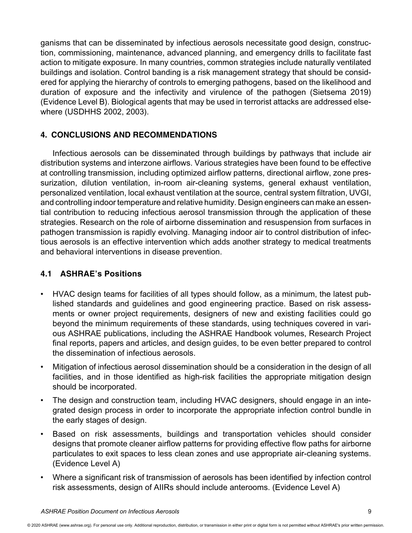ganisms that can be disseminated by infectious aerosols necessitate good design, construction, commissioning, maintenance, advanced planning, and emergency drills to facilitate fast action to mitigate exposure. In many countries, common strategies include naturally ventilated buildings and isolation. Control banding is a risk management strategy that should be considered for applying the hierarchy of controls to emerging pathogens, based on the likelihood and duration of exposure and the infectivity and virulence of the pathogen (Sietsema 2019) (Evidence Level B). Biological agents that may be used in terrorist attacks are addressed elsewhere (USDHHS 2002, 2003).

## **4. CONCLUSIONS AND RECOMMENDATIONS**

Infectious aerosols can be disseminated through buildings by pathways that include air distribution systems and interzone airflows. Various strategies have been found to be effective at controlling transmission, including optimized airflow patterns, directional airflow, zone pressurization, dilution ventilation, in-room air-cleaning systems, general exhaust ventilation, personalized ventilation, local exhaust ventilation at the source, central system filtration, UVGI, and controlling indoor temperature and relative humidity. Design engineers can make an essential contribution to reducing infectious aerosol transmission through the application of these strategies. Research on the role of airborne dissemination and resuspension from surfaces in pathogen transmission is rapidly evolving. Managing indoor air to control distribution of infectious aerosols is an effective intervention which adds another strategy to medical treatments and behavioral interventions in disease prevention.

## **4.1 ASHRAE's Positions**

- HVAC design teams for facilities of all types should follow, as a minimum, the latest published standards and guidelines and good engineering practice. Based on risk assessments or owner project requirements, designers of new and existing facilities could go beyond the minimum requirements of these standards, using techniques covered in various ASHRAE publications, including the ASHRAE Handbook volumes, Research Project final reports, papers and articles, and design guides, to be even better prepared to control the dissemination of infectious aerosols.
- Mitigation of infectious aerosol dissemination should be a consideration in the design of all facilities, and in those identified as high-risk facilities the appropriate mitigation design should be incorporated.
- The design and construction team, including HVAC designers, should engage in an integrated design process in order to incorporate the appropriate infection control bundle in the early stages of design.
- Based on risk assessments, buildings and transportation vehicles should consider designs that promote cleaner airflow patterns for providing effective flow paths for airborne particulates to exit spaces to less clean zones and use appropriate air-cleaning systems. (Evidence Level A)
- Where a significant risk of transmission of aerosols has been identified by infection control risk assessments, design of AIIRs should include anterooms. (Evidence Level A)

<sup>© 2020</sup> ASHRAE [\(www.ashrae.org\). Fo](http://www.ashrae.org)r personal use only. Additional reproduction, distribution, or transmission in either print or digital form is not permitted without ASHRAE's prior written permission.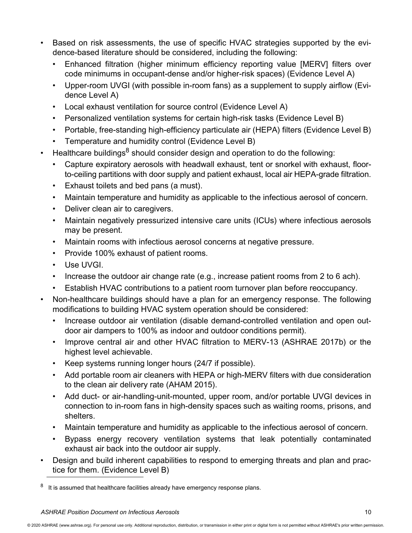- Based on risk assessments, the use of specific HVAC strategies supported by the evidence-based literature should be considered, including the following:
	- Enhanced filtration (higher minimum efficiency reporting value [MERV] filters over code minimums in occupant-dense and/or higher-risk spaces) (Evidence Level A)
	- Upper-room UVGI (with possible in-room fans) as a supplement to supply airflow (Evidence Level A)
	- Local exhaust ventilation for source control (Evidence Level A)
	- Personalized ventilation systems for certain high-risk tasks (Evidence Level B)
	- Portable, free-standing high-efficiency particulate air (HEPA) filters (Evidence Level B)
	- Temperature and humidity control (Evidence Level B)
- Healthcare buildings<sup>8</sup> should consider design and operation to do the following:
	- Capture expiratory aerosols with headwall exhaust, tent or snorkel with exhaust, floorto-ceiling partitions with door supply and patient exhaust, local air HEPA-grade filtration.
	- Exhaust toilets and bed pans (a must).
	- Maintain temperature and humidity as applicable to the infectious aerosol of concern.
	- Deliver clean air to caregivers.
	- Maintain negatively pressurized intensive care units (ICUs) where infectious aerosols may be present.
	- Maintain rooms with infectious aerosol concerns at negative pressure.
	- Provide 100% exhaust of patient rooms.
	- Use UVGI.
	- Increase the outdoor air change rate (e.g., increase patient rooms from 2 to 6 ach).
	- Establish HVAC contributions to a patient room turnover plan before reoccupancy.
- Non-healthcare buildings should have a plan for an emergency response. The following modifications to building HVAC system operation should be considered:
	- Increase outdoor air ventilation (disable demand-controlled ventilation and open outdoor air dampers to 100% as indoor and outdoor conditions permit).
	- Improve central air and other HVAC filtration to MERV-13 (ASHRAE 2017b) or the highest level achievable.
	- Keep systems running longer hours (24/7 if possible).
	- Add portable room air cleaners with HEPA or high-MERV filters with due consideration to the clean air delivery rate (AHAM 2015).
	- Add duct- or air-handling-unit-mounted, upper room, and/or portable UVGI devices in connection to in-room fans in high-density spaces such as waiting rooms, prisons, and shelters.
	- Maintain temperature and humidity as applicable to the infectious aerosol of concern.
	- Bypass energy recovery ventilation systems that leak potentially contaminated exhaust air back into the outdoor air supply.
- Design and build inherent capabilities to respond to emerging threats and plan and practice for them. (Evidence Level B)

<sup>&</sup>lt;sup>8</sup> It is assumed that healthcare facilities already have emergency response plans.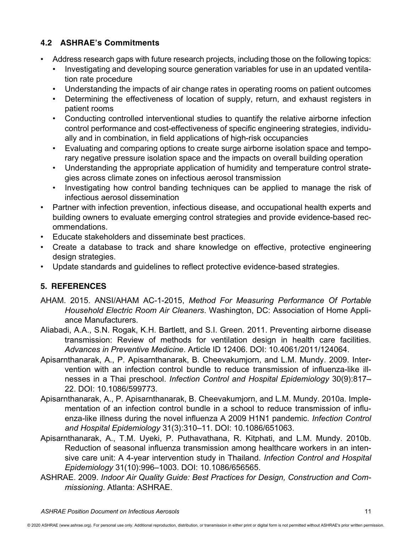## **4.2 ASHRAE's Commitments**

- Address research gaps with future research projects, including those on the following topics:
	- Investigating and developing source generation variables for use in an updated ventilation rate procedure
	- Understanding the impacts of air change rates in operating rooms on patient outcomes
	- Determining the effectiveness of location of supply, return, and exhaust registers in patient rooms
	- Conducting controlled interventional studies to quantify the relative airborne infection control performance and cost-effectiveness of specific engineering strategies, individually and in combination, in field applications of high-risk occupancies
	- Evaluating and comparing options to create surge airborne isolation space and temporary negative pressure isolation space and the impacts on overall building operation
	- Understanding the appropriate application of humidity and temperature control strategies across climate zones on infectious aerosol transmission
	- Investigating how control banding techniques can be applied to manage the risk of infectious aerosol dissemination
- Partner with infection prevention, infectious disease, and occupational health experts and building owners to evaluate emerging control strategies and provide evidence-based recommendations.
- Educate stakeholders and disseminate best practices.
- Create a database to track and share knowledge on effective, protective engineering design strategies.
- Update standards and guidelines to reflect protective evidence-based strategies.

# **5. REFERENCES**

- AHAM. 2015. ANSI/AHAM AC-1-2015, *Method For Measuring Performance Of Portable Household Electric Room Air Cleaners*. Washington, DC: Association of Home Appliance Manufacturers.
- Aliabadi, A.A., S.N. Rogak, K.H. Bartlett, and S.I. Green. 2011. Preventing airborne disease transmission: Review of methods for ventilation design in health care facilities. *Advances in Preventive Medicine*. Article ID 12406. DOI: 10.4061/2011/124064.
- Apisarnthanarak, A., P. Apisarnthanarak, B. Cheevakumjorn, and L.M. Mundy. 2009. Intervention with an infection control bundle to reduce transmission of influenza-like illnesses in a Thai preschool. *Infection Control and Hospital Epidemiology* 30(9):817– 22. DOI: 10.1086/599773.
- Apisarnthanarak, A., P. Apisarnthanarak, B. Cheevakumjorn, and L.M. Mundy. 2010a. Implementation of an infection control bundle in a school to reduce transmission of influenza-like illness during the novel influenza A 2009 H1N1 pandemic. *Infection Control and Hospital Epidemiology* 31(3):310–11. DOI: 10.1086/651063.
- Apisarnthanarak, A., T.M. Uyeki, P. Puthavathana, R. Kitphati, and L.M. Mundy. 2010b. Reduction of seasonal influenza transmission among healthcare workers in an intensive care unit: A 4-year intervention study in Thailand. *Infection Control and Hospital Epidemiology* 31(10):996–1003. DOI: 10.1086/656565.
- ASHRAE. 2009. *Indoor Air Quality Guide: Best Practices for Design, Construction and Commissioning*. Atlanta: ASHRAE.

<sup>© 2020</sup> ASHRAE [\(www.ashrae.org\). Fo](http://www.ashrae.org)r personal use only. Additional reproduction, distribution, or transmission in either print or digital form is not permitted without ASHRAE's prior written permission.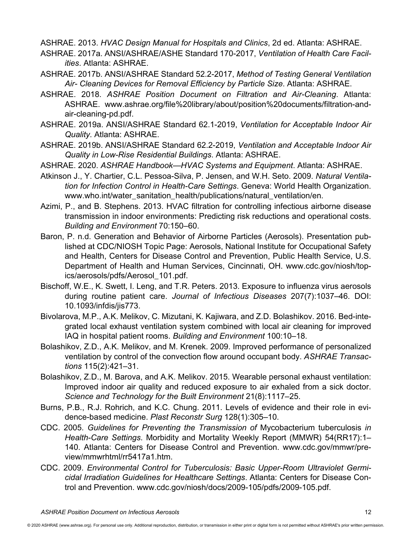ASHRAE. 2013. *HVAC Design Manual for Hospitals and Clinics*, 2d ed. Atlanta: ASHRAE.

- ASHRAE. 2017a. ANSI/ASHRAE/ASHE Standard 170-2017, *Ventilation of Health Care Facilities*. Atlanta: ASHRAE.
- ASHRAE. 2017b. ANSI/ASHRAE Standard 52.2-2017, *Method of Testing General Ventilation Air- Cleaning Devices for Removal Efficiency by Particle Size*. Atlanta: ASHRAE.
- ASHRAE. 2018. *ASHRAE Position Document on Filtration and Air-Cleaning*. Atlanta: ASHRAE. [www.ashrae.org/file%20library/about/position%20documents/filtration-an](http://www.ashrae.org/file%20library/about/position%20documents/filtration-and-air-cleaning-pd.pdf)d[air-cleaning-pd.pdf.](http://www.ashrae.org/file%20library/about/position%20documents/filtration-and-air-cleaning-pd.pdf)
- ASHRAE. 2019a. ANSI/ASHRAE Standard 62.1-2019, *Ventilation for Acceptable Indoor Air Quality*. Atlanta: ASHRAE.
- ASHRAE. 2019b. ANSI/ASHRAE Standard 62.2-2019, *Ventilation and Acceptable Indoor Air Quality in Low-Rise Residential Buildings*. Atlanta: ASHRAE.
- ASHRAE. 2020. *ASHRAE Handbook—HVAC Systems and Equipment*. Atlanta: ASHRAE.
- Atkinson J., Y. Chartier, C.L. Pessoa-Silva, P. Jensen, and W.H. Seto. 2009. *Natural Ventilation for Infection Control in Health-Care Settings*. Geneva: World Health Organization. [www.who.int/water\\_sanitation\\_health/publications/natural\\_ventilation/en.](http://www.who.int/water_sanitation_health/publications/natural_ventilation/en)
- Azimi, P., and B. Stephens. 2013. HVAC filtration for controlling infectious airborne disease transmission in indoor environments: Predicting risk reductions and operational costs. *Building and Environment* 70:150–60.
- Baron, P. n.d. Generation and Behavior of Airborne Particles (Aerosols). Presentation published at CDC/NIOSH Topic Page: Aerosols, National Institute for Occupational Safety and Health, Centers for Disease Control and Prevention, Public Health Service, U.S. Department of Health and Human Services, Cincinnati, OH. [www.cdc.gov/niosh/top](http://www.cdc.gov/niosh/topics/aerosols/pdfs/Aerosol_101.pdf)[ics/aerosols/pdfs/Aerosol\\_101.pdf.](http://www.cdc.gov/niosh/topics/aerosols/pdfs/Aerosol_101.pdf)
- Bischoff, W.E., K. Swett, I. Leng, and T.R. Peters. 2013. Exposure to influenza virus aerosols during routine patient care. *Journal of Infectious Diseases* 207(7):1037–46. DOI: 10.1093/infdis/jis773.
- Bivolarova, M.P., A.K. Melikov, C. Mizutani, K. Kajiwara, and Z.D. Bolashikov. 2016. Bed-integrated local exhaust ventilation system combined with local air cleaning for improved IAQ in hospital patient rooms. *Building and Environment* 100:10–18.
- Bolashikov, Z.D., A.K. Melikov, and M. Krenek. 2009. Improved performance of personalized ventilation by control of the convection flow around occupant body. *ASHRAE Transactions* 115(2):421–31.
- Bolashikov, Z.D., M. Barova, and A.K. Melikov. 2015. Wearable personal exhaust ventilation: Improved indoor air quality and reduced exposure to air exhaled from a sick doctor. *Science and Technology for the Built Environment* 21(8):1117–25.
- Burns, P.B., R.J. Rohrich, and K.C. Chung. 2011. Levels of evidence and their role in evidence-based medicine. *Plast Reconstr Surg* 128(1):305–10.
- CDC. 2005. *Guidelines for Preventing the Transmission of* Mycobacterium tuberculosis *in Health-Care Settings*. Morbidity and Mortality Weekly Report (MMWR) 54(RR17):1– 140. Atlanta: Centers for Disease Control and Prevention. [www.cdc.gov/mmwr/pre](http://www.cdc.gov/mmwr/preview/mmwrhtml/rr5417a1.htm)[view/mmwrhtml/rr5417a1.htm.](http://www.cdc.gov/mmwr/preview/mmwrhtml/rr5417a1.htm)
- CDC. 2009. *Environmental Control for Tuberculosis: Basic Upper-Room Ultraviolet Germicidal Irradiation Guidelines for Healthcare Settings*. Atlanta: Centers for Disease Control and Prevention. [www.cdc.gov/niosh/docs/2009-105/pdfs/2009-105.pdf.](http://www.cdc.gov/niosh/docs/2009-105/pdfs/2009-105.pdf)

<sup>© 2020</sup> ASHRAE [\(www.ashrae.org\). Fo](http://www.ashrae.org)r personal use only. Additional reproduction, distribution, or transmission in either print or digital form is not permitted without ASHRAE's prior written permission.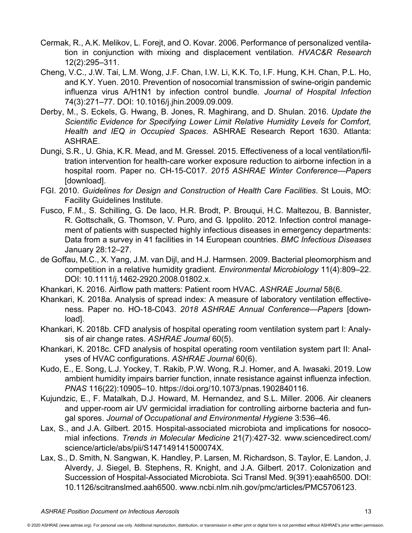- Cermak, R., A.K. Melikov, L. Forejt, and O. Kovar. 2006. Performance of personalized ventilation in conjunction with mixing and displacement ventilation. *HVAC&R Research* 12(2):295–311.
- Cheng, V.C., J.W. Tai, L.M. Wong, J.F. Chan, I.W. Li, K.K. To, I.F. Hung, K.H. Chan, P.L. Ho, and K.Y. Yuen. 2010. Prevention of nosocomial transmission of swine-origin pandemic influenza virus A/H1N1 by infection control bundle. *Journal of Hospital Infection* 74(3):271–77. DOI: 10.1016/j.jhin.2009.09.009.
- Derby, M., S. Eckels, G. Hwang, B. Jones, R. Maghirang, and D. Shulan. 2016. *Update the Scientific Evidence for Specifying Lower Limit Relative Humidity Levels for Comfort, Health and IEQ in Occupied Spaces*. ASHRAE Research Report 1630. Atlanta: ASHRAE.
- Dungi, S.R., U. Ghia, K.R. Mead, and M. Gressel. 2015. Effectiveness of a local ventilation/filtration intervention for health-care worker exposure reduction to airborne infection in a hospital room. Paper no. CH-15-C017. *2015 ASHRAE Winter Conference—Papers* [download].
- FGI. 2010. *Guidelines for Design and Construction of Health Care Facilities*. St Louis, MO: Facility Guidelines Institute.
- Fusco, F.M., S. Schilling, G. De Iaco, H.R. Brodt, P. Brouqui, H.C. Maltezou, B. Bannister, R. Gottschalk, G. Thomson, V. Puro, and G. Ippolito. 2012. Infection control management of patients with suspected highly infectious diseases in emergency departments: Data from a survey in 41 facilities in 14 European countries. *BMC Infectious Diseases* January 28:12–27.
- de Goffau, M.C., X. Yang, J.M. van Dijl, and H.J. Harmsen. 2009. Bacterial pleomorphism and competition in a relative humidity gradient. *Environmental Microbiology* 11(4):809–22. DOI: 10.1111/j.1462-2920.2008.01802.x.
- Khankari, K. 2016. Airflow path matters: Patient room HVAC. *ASHRAE Journal* 58(6.
- Khankari, K. 2018a. Analysis of spread index: A measure of laboratory ventilation effectiveness. Paper no. HO-18-C043. *2018 ASHRAE Annual Conference—Papers* [download].
- Khankari, K. 2018b. CFD analysis of hospital operating room ventilation system part I: Analysis of air change rates. *ASHRAE Journal* 60(5).
- Khankari, K. 2018c. CFD analysis of hospital operating room ventilation system part II: Analyses of HVAC configurations. *ASHRAE Journal* 60(6).
- Kudo, E., E. Song, L.J. Yockey, T. Rakib, P.W. Wong, R.J. Homer, and A. Iwasaki. 2019. Low ambient humidity impairs barrier function, innate resistance against influenza infection. *PNAS* 116(22):10905–10. [https://doi.org/10.1073/pnas.1902840116.](https://doi.org/10.1073/pnas.1902840116)
- Kujundzic, E., F. Matalkah, D.J. Howard, M. Hernandez, and S.L. Miller. 2006. Air cleaners and upper-room air UV germicidal irradiation for controlling airborne bacteria and fungal spores. *Journal of Occupational and Environmental Hygiene* 3:536–46.
- Lax, S., and J.A. Gilbert. 2015. Hospital-associated microbiota and implications for nosocomial infections. *Trends in Molecular Medicine* 21(7):427-32. [www.sciencedirect.com/](http://www.sciencedirect.com/science/article/abs/pii/S147149141500074X) [science/article/abs/pii/S147149141500074X.](http://www.sciencedirect.com/science/article/abs/pii/S147149141500074X)
- Lax, S., D. Smith, N. Sangwan, K. Handley, P. Larsen, M. Richardson, S. Taylor, E. Landon, J. Alverdy, J. Siegel, B. Stephens, R. Knight, and J.A. Gilbert. 2017. Colonization and Succession of Hospital-Associated Microbiota. Sci Transl Med. 9(391):eaah6500. DOI: 10.1126/scitranslmed.aah6500. [www.ncbi.nlm.nih.gov/pmc/articles/PMC5706123.](http://www.ncbi.nlm.nih.gov/pmc/articles/PMC5706123)

<sup>© 2020</sup> ASHRAE [\(www.ashrae.org\). Fo](http://www.ashrae.org)r personal use only. Additional reproduction, distribution, or transmission in either print or digital form is not permitted without ASHRAE's prior written permission.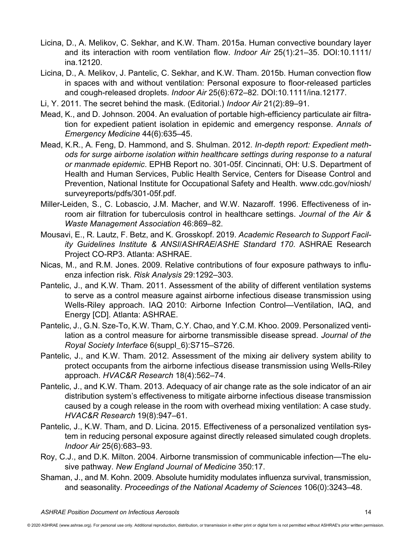- Licina, D., A. Melikov, C. Sekhar, and K.W. Tham. 2015a. Human convective boundary layer and its interaction with room ventilation flow. *Indoor Air* 25(1):21–35. DOI:10.1111/ ina.12120.
- Licina, D., A. Melikov, J. Pantelic, C. Sekhar, and K.W. Tham. 2015b. Human convection flow in spaces with and without ventilation: Personal exposure to floor-released particles and cough-released droplets. *Indoor Air* 25(6):672–82. DOI:10.1111/ina.12177.
- Li, Y. 2011. The secret behind the mask. (Editorial.) *Indoor Air* 21(2):89–91.
- Mead, K., and D. Johnson. 2004. An evaluation of portable high-efficiency particulate air filtration for expedient patient isolation in epidemic and emergency response. *Annals of Emergency Medicine* 44(6):635–45.
- Mead, K.R., A. Feng, D. Hammond, and S. Shulman. 2012. *In-depth report: Expedient methods for surge airborne isolation within healthcare settings during response to a natural or manmade epidemic*. EPHB Report no. 301-05f. Cincinnati, OH: U.S. Department of Health and Human Services, Public Health Service, Centers for Disease Control and Prevention, National Institute for Occupational Safety and Health. [www.cdc.gov/niosh/](http://www.cdc.gov/niosh/surveyreports/pdfs/301-05f.pdf) [surveyreports/pdfs/301-05f.pdf.](http://www.cdc.gov/niosh/surveyreports/pdfs/301-05f.pdf)
- Miller-Leiden, S., C. Lobascio, J.M. Macher, and W.W. Nazaroff. 1996. Effectiveness of inroom air filtration for tuberculosis control in healthcare settings. *Journal of the Air & Waste Management Association* 46:869–82.
- Mousavi, E., R. Lautz, F. Betz, and K. Grosskopf. 2019. *Academic Research to Support Facility Guidelines Institute & ANSI/ASHRAE/ASHE Standard 170*. ASHRAE Research Project CO-RP3. Atlanta: ASHRAE.
- Nicas, M., and R.M. Jones. 2009. Relative contributions of four exposure pathways to influenza infection risk. *Risk Analysis* 29:1292–303.
- Pantelic, J., and K.W. Tham. 2011. Assessment of the ability of different ventilation systems to serve as a control measure against airborne infectious disease transmission using Wells-Riley approach. IAQ 2010: Airborne Infection Control—Ventilation, IAQ, and Energy [CD]. Atlanta: ASHRAE.
- Pantelic, J., G.N. Sze-To, K.W. Tham, C.Y. Chao, and Y.C.M. Khoo. 2009. Personalized ventilation as a control measure for airborne transmissible disease spread. *Journal of the Royal Society Interface* 6(suppl\_6):S715–S726.
- Pantelic, J., and K.W. Tham. 2012. Assessment of the mixing air delivery system ability to protect occupants from the airborne infectious disease transmission using Wells-Riley approach. *HVAC&R Research* 18(4):562–74.
- Pantelic, J., and K.W. Tham. 2013. Adequacy of air change rate as the sole indicator of an air distribution system's effectiveness to mitigate airborne infectious disease transmission caused by a cough release in the room with overhead mixing ventilation: A case study. *HVAC&R Research* 19(8):947–61.
- Pantelic, J., K.W. Tham, and D. Licina. 2015. Effectiveness of a personalized ventilation system in reducing personal exposure against directly released simulated cough droplets. *Indoor Air* 25(6):683–93.
- Roy, C.J., and D.K. Milton. 2004. Airborne transmission of communicable infection*—*The elusive pathway. *New England Journal of Medicine* 350:17.
- Shaman, J., and M. Kohn. 2009. Absolute humidity modulates influenza survival, transmission, and seasonality. *Proceedings of the National Academy of Sciences* 106(0):3243–48.

<sup>© 2020</sup> ASHRAE [\(www.ashrae.org\). Fo](http://www.ashrae.org)r personal use only. Additional reproduction, distribution, or transmission in either print or digital form is not permitted without ASHRAE's prior written permission.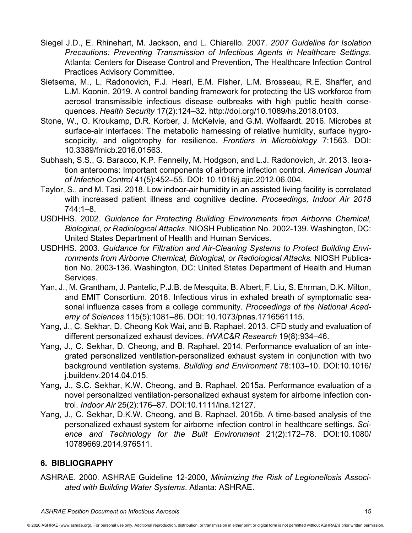- Siegel J.D., E. Rhinehart, M. Jackson, and L. Chiarello. 2007. *2007 Guideline for Isolation Precautions: Preventing Transmission of Infectious Agents in Healthcare Settings*. Atlanta: Centers for Disease Control and Prevention, The Healthcare Infection Control Practices Advisory Committee.
- Sietsema, M., L. Radonovich, F.J. Hearl, E.M. Fisher, L.M. Brosseau, R.E. Shaffer, and L.M. Koonin. 2019. A control banding framework for protecting the US workforce from aerosol transmissible infectious disease outbreaks with high public health consequences. *Health Security* 17(2):124–32. [http://doi.org/10.1089/hs.2018.0103.](http://doi.org/10.1089/hs.2018.0103)
- Stone, W., O. Kroukamp, D.R. Korber, J. McKelvie, and G.M. Wolfaardt. 2016. Microbes at surface-air interfaces: The metabolic harnessing of relative humidity, surface hygroscopicity, and oligotrophy for resilience. *Frontiers in Microbiology* 7:1563. DOI: 10.3389/fmicb.2016.01563.
- Subhash, S.S., G. Baracco, K.P. Fennelly, M. Hodgson, and L.J. Radonovich, Jr. 2013. Isolation anterooms: Important components of airborne infection control. *American Journal of Infection Control* 41(5):452–55. DOI: 10.1016/j.ajic.2012.06.004.
- Taylor, S., and M. Tasi. 2018. Low indoor-air humidity in an assisted living facility is correlated with increased patient illness and cognitive decline. *Proceedings, Indoor Air 2018* 744:1–8.
- USDHHS. 2002. *Guidance for Protecting Building Environments from Airborne Chemical, Biological, or Radiological Attacks*. NIOSH Publication No. 2002-139. Washington, DC: United States Department of Health and Human Services.
- USDHHS. 2003. *Guidance for Filtration and Air-Cleaning Systems to Protect Building Environments from Airborne Chemical, Biological, or Radiological Attacks.* NIOSH Publication No. 2003-136. Washington, DC: United States Department of Health and Human Services.
- Yan, J., M. Grantham, J. Pantelic, P.J.B. de Mesquita, B. Albert, F. Liu, S. Ehrman, D.K. Milton, and EMIT Consortium. 2018. Infectious virus in exhaled breath of symptomatic seasonal influenza cases from a college community. *Proceedings of the National Academy of Sciences* 115(5):1081–86. DOI: 10.1073/pnas.1716561115.
- Yang, J., C. Sekhar, D. Cheong Kok Wai, and B. Raphael. 2013. CFD study and evaluation of different personalized exhaust devices. *HVAC&R Research* 19(8):934–46.
- Yang, J., C. Sekhar, D. Cheong, and B. Raphael. 2014. Performance evaluation of an integrated personalized ventilation-personalized exhaust system in conjunction with two background ventilation systems. *Building and Environment* 78:103–10. DOI:10.1016/ j.buildenv.2014.04.015.
- Yang, J., S.C. Sekhar, K.W. Cheong, and B. Raphael. 2015a. Performance evaluation of a novel personalized ventilation-personalized exhaust system for airborne infection control. *Indoor Air* 25(2):176–87. DOI:10.1111/ina.12127.
- Yang, J., C. Sekhar, D.K.W. Cheong, and B. Raphael. 2015b. A time-based analysis of the personalized exhaust system for airborne infection control in healthcare settings. *Science and Technology for the Built Environment* 21(2):172–78. DOI:10.1080/ 10789669.2014.976511.

## **6. BIBLIOGRAPHY**

ASHRAE. 2000. ASHRAE Guideline 12-2000, *Minimizing the Risk of Legionellosis Associated with Building Water Systems*. Atlanta: ASHRAE.

<sup>© 2020</sup> ASHRAE [\(www.ashrae.org\). Fo](http://www.ashrae.org)r personal use only. Additional reproduction, distribution, or transmission in either print or digital form is not permitted without ASHRAE's prior written permission.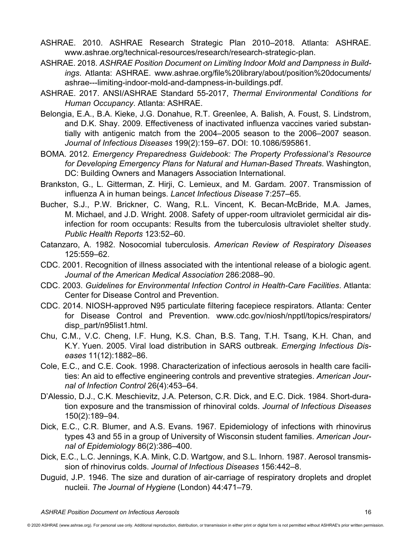- ASHRAE. 2010. ASHRAE Research Strategic Plan 2010–2018. Atlanta: ASHRAE. [www.ashrae.org/technical-resources/research/research-strategic-plan.](http://www.ashrae.org/technical-resources/research/research-strategic-plan)
- ASHRAE. 2018. *ASHRAE Position Document on Limiting Indoor Mold and Dampness in Buildings*. Atlanta: ASHRAE. [www.ashrae.org/file%20library/about/position%20documents/](http://www.ashrae.org/file%20library/about/position%20documents/ashrae---limiting-indoor-mold-and-dampness-in-buildings.pdf) [ashrae---limiting-indoor-mold-and-dampness-in-buildings.pdf.](http://www.ashrae.org/file%20library/about/position%20documents/ashrae---limiting-indoor-mold-and-dampness-in-buildings.pdf)
- ASHRAE. 2017. ANSI/ASHRAE Standard 55-2017, *Thermal Environmental Conditions for Human Occupancy*. Atlanta: ASHRAE.
- Belongia, E.A., B.A. Kieke, J.G. Donahue, R.T. Greenlee, A. Balish, A. Foust, S. Lindstrom, and D.K. Shay. 2009. Effectiveness of inactivated influenza vaccines varied substantially with antigenic match from the 2004–2005 season to the 2006–2007 season. *Journal of Infectious Diseases* 199(2):159–67. DOI: 10.1086/595861.
- BOMA. 2012. *Emergency Preparedness Guidebook: The Property Professional's Resource for Developing Emergency Plans for Natural and Human-Based Threats*. Washington, DC: Building Owners and Managers Association International.
- Brankston, G., L. Gitterman, Z. Hirji, C. Lemieux, and M. Gardam. 2007. Transmission of influenza A in human beings. *Lancet Infectious Disease* 7:257–65.
- Bucher, S.J., P.W. Brickner, C. Wang, R.L. Vincent, K. Becan-McBride, M.A. James, M. Michael, and J.D. Wright. 2008. Safety of upper-room ultraviolet germicidal air disinfection for room occupants: Results from the tuberculosis ultraviolet shelter study. *Public Health Reports* 123:52–60.
- Catanzaro, A. 1982. Nosocomial tuberculosis. *American Review of Respiratory Diseases* 125:559–62.
- CDC. 2001. Recognition of illness associated with the intentional release of a biologic agent. *Journal of the American Medical Association* 286:2088–90.
- CDC. 2003. *Guidelines for Environmental Infection Control in Health-Care Facilities*. Atlanta: Center for Disease Control and Prevention.
- CDC. 2014. NIOSH-approved N95 particulate filtering facepiece respirators. Atlanta: Center for Disease Control and Prevention. [www.cdc.gov/niosh/npptl/topics/respirators/](http://www.cdc.gov/niosh/npptl/topics/respirators/disp_part/n95list1.html) [disp\\_part/n95list1.html.](http://www.cdc.gov/niosh/npptl/topics/respirators/disp_part/n95list1.html)
- Chu, C.M., V.C. Cheng, I.F. Hung, K.S. Chan, B.S. Tang, T.H. Tsang, K.H. Chan, and K.Y. Yuen. 2005. Viral load distribution in SARS outbreak. *Emerging Infectious Diseases* 11(12):1882–86.
- Cole, E.C., and C.E. Cook. 1998. Characterization of infectious aerosols in health care facilities: An aid to effective engineering controls and preventive strategies. *American Journal of Infection Control* 26(4):453–64.
- D'Alessio, D.J., C.K. Meschievitz, J.A. Peterson, C.R. Dick, and E.C. Dick. 1984. Short-duration exposure and the transmission of rhinoviral colds. *Journal of Infectious Diseases* 150(2):189–94.
- Dick, E.C., C.R. Blumer, and A.S. Evans. 1967. Epidemiology of infections with rhinovirus types 43 and 55 in a group of University of Wisconsin student families. *American Journal of Epidemiology* 86(2):386–400.
- Dick, E.C., L.C. Jennings, K.A. Mink, C.D. Wartgow, and S.L. Inhorn. 1987. Aerosol transmission of rhinovirus colds. *Journal of Infectious Diseases* 156:442–8.
- Duguid, J.P. 1946. The size and duration of air-carriage of respiratory droplets and droplet nucleii. *The Journal of Hygiene* (London) 44:471–79.

<sup>© 2020</sup> ASHRAE [\(www.ashrae.org\). Fo](http://www.ashrae.org)r personal use only. Additional reproduction, distribution, or transmission in either print or digital form is not permitted without ASHRAE's prior written permission.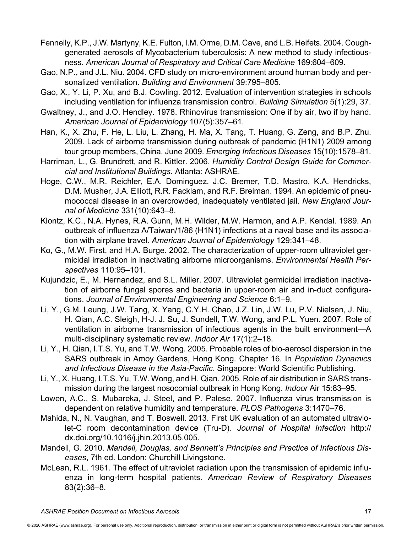- Fennelly, K.P., J.W. Martyny, K.E. Fulton, I.M. Orme, D.M. Cave, and L.B. Heifets. 2004. Coughgenerated aerosols of Mycobacterium tuberculosis: A new method to study infectiousness. *American Journal of Respiratory and Critical Care Medicine* 169:604–609.
- Gao, N.P., and J.L. Niu. 2004. CFD study on micro-environment around human body and personalized ventilation. *Building and Environment* 39:795–805.
- Gao, X., Y. Li, P. Xu, and B.J. Cowling. 2012. Evaluation of intervention strategies in schools including ventilation for influenza transmission control. *Building Simulation* 5(1):29, 37.
- Gwaltney, J., and J.O. Hendley. 1978. Rhinovirus transmission: One if by air, two if by hand. *American Journal of Epidemiology* 107(5):357–61.
- Han, K., X. Zhu, F. He, L. Liu, L. Zhang, H. Ma, X. Tang, T. Huang, G. Zeng, and B.P. Zhu. 2009. Lack of airborne transmission during outbreak of pandemic (H1N1) 2009 among tour group members, China, June 2009. *Emerging Infectious Diseases* 15(10):1578–81.
- Harriman, L., G. Brundrett, and R. Kittler. 2006. *Humidity Control Design Guide for Commercial and Institutional Buildings*. Atlanta: ASHRAE.
- Hoge, C.W., M.R. Reichler, E.A. Dominguez, J.C. Bremer, T.D. Mastro, K.A. Hendricks, D.M. Musher, J.A. Elliott, R.R. Facklam, and R.F. Breiman. 1994. An epidemic of pneumococcal disease in an overcrowded, inadequately ventilated jail. *New England Journal of Medicine* 331(10):643–8.
- Klontz, K.C., N.A. Hynes, R.A. Gunn, M.H. Wilder, M.W. Harmon, and A.P. Kendal. 1989. An outbreak of influenza A/Taiwan/1/86 (H1N1) infections at a naval base and its association with airplane travel. *American Journal of Epidemiology* 129:341–48.
- Ko, G., M.W. First, and H.A. Burge. 2002. The characterization of upper-room ultraviolet germicidal irradiation in inactivating airborne microorganisms. *Environmental Health Perspectives* 110:95–101.
- Kujundzic, E., M. Hernandez, and S.L. Miller. 2007. Ultraviolet germicidal irradiation inactivation of airborne fungal spores and bacteria in upper-room air and in-duct configurations. *Journal of Environmental Engineering and Science* 6:1–9.
- Li, Y., G.M. Leung, J.W. Tang, X. Yang, C.Y.H. Chao, J.Z. Lin, J.W. Lu, P.V. Nielsen, J. Niu, H. Qian, A.C. Sleigh, H-J. J. Su, J. Sundell, T.W. Wong, and P.L. Yuen. 2007. Role of ventilation in airborne transmission of infectious agents in the built environment—A multi-disciplinary systematic review. *Indoor Air* 17(1):2–18.
- Li, Y., H. Qian, I.T.S. Yu, and T.W. Wong. 2005. Probable roles of bio-aerosol dispersion in the SARS outbreak in Amoy Gardens, Hong Kong. Chapter 16. In *Population Dynamics and Infectious Disease in the Asia-Pacific*. Singapore: World Scientific Publishing.
- Li, Y., X. Huang, I.T.S. Yu, T.W. Wong, and H. Qian. 2005. Role of air distribution in SARS transmission during the largest nosocomial outbreak in Hong Kong. *Indoor* Air 15:83–95.
- Lowen, A.C., S. Mubareka, J. Steel, and P. Palese. 2007. Influenza virus transmission is dependent on relative humidity and temperature. *PLOS Pathogens* 3:1470–76.
- Mahida, N., N. Vaughan, and T. Boswell. 2013. First UK evaluation of an automated ultraviolet-C room decontamination device (Tru-D). *Journal of Hospital Infection* [http://](http://dx.doi.org/10.1016/j.jhin.2013.05.005) [dx.doi.org/10.1016/j.jhin.2013.05.005.](http://dx.doi.org/10.1016/j.jhin.2013.05.005)
- Mandell, G. 2010. *Mandell, Douglas, and Bennett's Principles and Practice of Infectious Diseases*, 7th ed. London: Churchill Livingstone.
- McLean, R.L. 1961. The effect of ultraviolet radiation upon the transmission of epidemic influenza in long-term hospital patients. *American Review of Respiratory Diseases* 83(2):36–8.

<sup>© 2020</sup> ASHRAE [\(www.ashrae.org\). Fo](http://www.ashrae.org)r personal use only. Additional reproduction, distribution, or transmission in either print or digital form is not permitted without ASHRAE's prior written permission.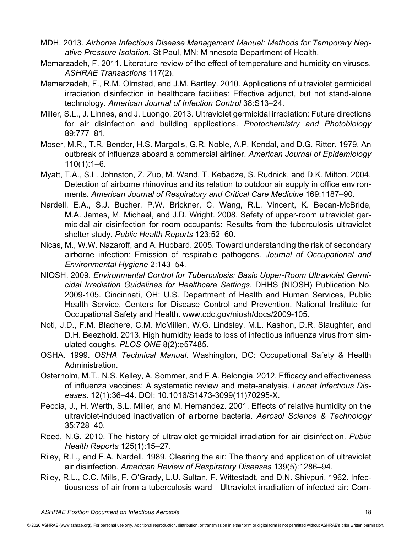- MDH. 2013. *Airborne Infectious Disease Management Manual: Methods for Temporary Negative Pressure Isolation*. St Paul, MN: Minnesota Department of Health.
- Memarzadeh, F. 2011. Literature review of the effect of temperature and humidity on viruses. *ASHRAE Transactions* 117(2).
- Memarzadeh, F., R.M. Olmsted, and J.M. Bartley. 2010. Applications of ultraviolet germicidal irradiation disinfection in healthcare facilities: Effective adjunct, but not stand-alone technology. *American Journal of Infection Control* 38:S13–24.
- Miller, S.L., J. Linnes, and J. Luongo. 2013. Ultraviolet germicidal irradiation: Future directions for air disinfection and building applications. *Photochemistry and Photobiology* 89:777–81.
- Moser, M.R., T.R. Bender, H.S. Margolis, G.R. Noble, A.P. Kendal, and D.G. Ritter. 1979. An outbreak of influenza aboard a commercial airliner. *American Journal of Epidemiology*  $110(1):1-6.$
- Myatt, T.A., S.L. Johnston, Z. Zuo, M. Wand, T. Kebadze, S. Rudnick, and D.K. Milton. 2004. Detection of airborne rhinovirus and its relation to outdoor air supply in office environments. *American Journal of Respiratory and Critical Care Medicine* 169:1187–90.
- Nardell, E.A., S.J. Bucher, P.W. Brickner, C. Wang, R.L. Vincent, K. Becan-McBride, M.A. James, M. Michael, and J.D. Wright. 2008. Safety of upper-room ultraviolet germicidal air disinfection for room occupants: Results from the tuberculosis ultraviolet shelter study. *Public Health Reports* 123:52–60.
- Nicas, M., W.W. Nazaroff, and A. Hubbard. 2005. Toward understanding the risk of secondary airborne infection: Emission of respirable pathogens. *Journal of Occupational and Environmental Hygiene* 2:143–54.
- NIOSH. 2009. *Environmental Control for Tuberculosis: Basic Upper-Room Ultraviolet Germicidal Irradiation Guidelines for Healthcare Settings*. DHHS (NIOSH) Publication No. 2009-105. Cincinnati, OH: U.S. Department of Health and Human Services, Public Health Service, Centers for Disease Control and Prevention, National Institute for Occupational Safety and Health. [www.cdc.gov/niosh/docs/2009-105.](http://www.cdc.gov/niosh/docs/2009-105)
- Noti, J.D., F.M. Blachere, C.M. McMillen, W.G. Lindsley, M.L. Kashon, D.R. Slaughter, and D.H. Beezhold. 2013. High humidity leads to loss of infectious influenza virus from simulated coughs. *PLOS ONE* 8(2):e57485.
- OSHA. 1999. *OSHA Technical Manual*. Washington, DC: Occupational Safety & Health Administration.
- Osterholm, M.T., N.S. Kelley, A. Sommer, and E.A. Belongia. 2012. Efficacy and effectiveness of influenza vaccines: A systematic review and meta-analysis. *Lancet Infectious Diseases*. 12(1):36–44. DOI: 10.1016/S1473-3099(11)70295-X.
- Peccia, J., H. Werth, S.L. Miller, and M. Hernandez. 2001. Effects of relative humidity on the ultraviolet-induced inactivation of airborne bacteria. *Aerosol Science & Technology* 35:728–40.
- Reed, N.G. 2010. The history of ultraviolet germicidal irradiation for air disinfection. *Public Health Reports* 125(1):15–27.
- Riley, R.L., and E.A. Nardell. 1989. Clearing the air: The theory and application of ultraviolet air disinfection. *American Review of Respiratory Diseases* 139(5):1286–94.
- Riley, R.L., C.C. Mills, F. O'Grady, L.U. Sultan, F. Wittestadt, and D.N. Shivpuri. 1962. Infectiousness of air from a tuberculosis ward—Ultraviolet irradiation of infected air: Com-

<sup>© 2020</sup> ASHRAE [\(www.ashrae.org\). Fo](http://www.ashrae.org)r personal use only. Additional reproduction, distribution, or transmission in either print or digital form is not permitted without ASHRAE's prior written permission.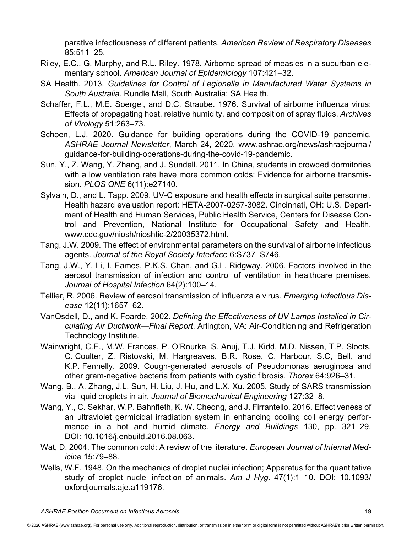parative infectiousness of different patients. *American Review of Respiratory Diseases* 85:511–25.

- Riley, E.C., G. Murphy, and R.L. Riley. 1978. Airborne spread of measles in a suburban elementary school. *American Journal of Epidemiology* 107:421–32.
- SA Health. 2013. *Guidelines for Control of Legionella in Manufactured Water Systems in South Australia*. Rundle Mall, South Australia: SA Health.
- Schaffer, F.L., M.E. Soergel, and D.C. Straube. 1976. Survival of airborne influenza virus: Effects of propagating host, relative humidity, and composition of spray fluids. *Archives of Virology* 51:263–73.
- Schoen, L.J. 2020. Guidance for building operations during the COVID-19 pandemic. *ASHRAE Journal Newsletter*, March 24, 2020. [www.ashrae.org/news/ashraejournal/](http://www.ashrae.org/news/ashraejournal/guidance-for-building-operations-during-the-covid-19-pandemic) [guidance-for-building-operations-during-the-covid-19-pandemic.](http://www.ashrae.org/news/ashraejournal/guidance-for-building-operations-during-the-covid-19-pandemic)
- Sun, Y., Z. Wang, Y. Zhang, and J. Sundell. 2011. In China, students in crowded dormitories with a low ventilation rate have more common colds: Evidence for airborne transmission. *PLOS ONE* 6(11):e27140.
- Sylvain, D., and L. Tapp. 2009. UV-C exposure and health effects in surgical suite personnel. Health hazard evaluation report: HETA-2007-0257-3082. Cincinnati, OH: U.S. Department of Health and Human Services, Public Health Service, Centers for Disease Control and Prevention, National Institute for Occupational Safety and Health. [www.cdc.gov/niosh/nioshtic-2/20035372.html.](http://www.cdc.gov/niosh/nioshtic-2/20035372.html)
- Tang, J.W. 2009. The effect of environmental parameters on the survival of airborne infectious agents. *Journal of the Royal Society Interface* 6:S737–S746.
- Tang, J.W., Y. Li, I. Eames, P.K.S. Chan, and G.L. Ridgway. 2006. Factors involved in the aerosol transmission of infection and control of ventilation in healthcare premises. *Journal of Hospital Infection* 64(2):100–14.
- Tellier, R. 2006. Review of aerosol transmission of influenza a virus. *Emerging Infectious Disease* 12(11):1657–62.
- VanOsdell, D., and K. Foarde. 2002. *Defining the Effectiveness of UV Lamps Installed in Circulating Air Ductwork—Final Report*. Arlington, VA: Air-Conditioning and Refrigeration Technology Institute.
- Wainwright, C.E., M.W. Frances, P. O'Rourke, S. Anuj, T.J. Kidd, M.D. Nissen, T.P. Sloots, C. Coulter, Z. Ristovski, M. Hargreaves, B.R. Rose, C. Harbour, S.C, Bell, and K.P. Fennelly. 2009. Cough-generated aerosols of Pseudomonas aeruginosa and other gram-negative bacteria from patients with cystic fibrosis. *Thorax* 64:926–31.
- Wang, B., A. Zhang, J.L. Sun, H. Liu, J. Hu, and L.X. Xu. 2005. Study of SARS transmission via liquid droplets in air. *Journal of Biomechanical Engineering* 127:32–8.
- Wang, Y., C. Sekhar, W.P. Bahnfleth, K. W. Cheong, and J. Firrantello. 2016. Effectiveness of an ultraviolet germicidal irradiation system in enhancing cooling coil energy performance in a hot and humid climate. *Energy and Buildings* 130, pp. 321–29. DOI: 10.1016/j.enbuild.2016.08.063.
- Wat, D. 2004. The common cold: A review of the literature. *European Journal of Internal Medicine* 15:79–88.
- Wells, W.F. 1948. On the mechanics of droplet nuclei infection; Apparatus for the quantitative study of droplet nuclei infection of animals. *Am J Hyg*. 47(1):1–10. DOI: 10.1093/ oxfordjournals.aje.a119176.

<sup>© 2020</sup> ASHRAE [\(www.ashrae.org\). Fo](http://www.ashrae.org)r personal use only. Additional reproduction, distribution, or transmission in either print or digital form is not permitted without ASHRAE's prior written permission.